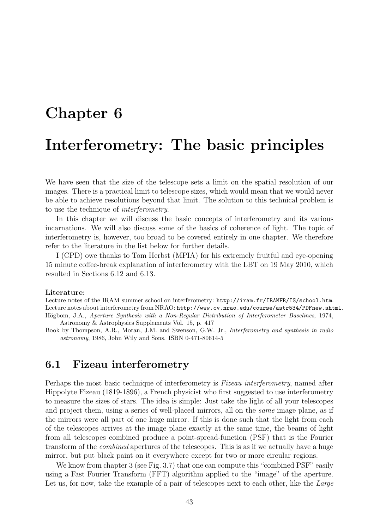# Chapter 6 Interferometry: The basic principles

We have seen that the size of the telescope sets a limit on the spatial resolution of our images. There is a practical limit to telescope sizes, which would mean that we would never be able to achieve resolutions beyond that limit. The solution to this technical problem is to use the technique of interferometry.

In this chapter we will discuss the basic concepts of interferometry and its various incarnations. We will also discuss some of the basics of coherence of light. The topic of interferometry is, however, too broad to be covered entirely in one chapter. We therefore refer to the literature in the list below for further details.

I (CPD) owe thanks to Tom Herbst (MPIA) for his extremely fruitful and eye-opening 15 minute coffee-break explanation of interferometry with the LBT on 19 May 2010, which resulted in Sections 6.12 and 6.13.

#### Literature:

Lecture notes of the IRAM summer school on interferometry: http://iram.fr/IRAMFR/IS/school.htm. Lecture notes about interferometry from NRAO: http://www.cv.nrao.edu/course/astr534/PDFnew.shtml. Högbom, J.A., Aperture Synthesis with a Non-Regular Distribution of Interferometer Baselines, 1974, Astronomy & Astrophysics Supplements Vol. 15, p. 417

Book by Thompson, A.R., Moran, J.M. and Swenson, G.W. Jr., Interferometry and synthesis in radio astronomy, 1986, John Wily and Sons. ISBN 0-471-80614-5

## 6.1 Fizeau interferometry

Perhaps the most basic technique of interferometry is Fizeau interferometry, named after Hippolyte Fizeau (1819-1896), a French physicist who first suggested to use interferometry to measure the sizes of stars. The idea is simple: Just take the light of all your telescopes and project them, using a series of well-placed mirrors, all on the same image plane, as if the mirrors were all part of one huge mirror. If this is done such that the light from each of the telescopes arrives at the image plane exactly at the same time, the beams of light from all telescopes combined produce a point-spread-function (PSF) that is the Fourier transform of the combined apertures of the telescopes. This is as if we actually have a huge mirror, but put black paint on it everywhere except for two or more circular regions.

We know from chapter 3 (see Fig. 3.7) that one can compute this "combined PSF" easily using a Fast Fourier Transform (FFT) algorithm applied to the "image" of the aperture. Let us, for now, take the example of a pair of telescopes next to each other, like the Large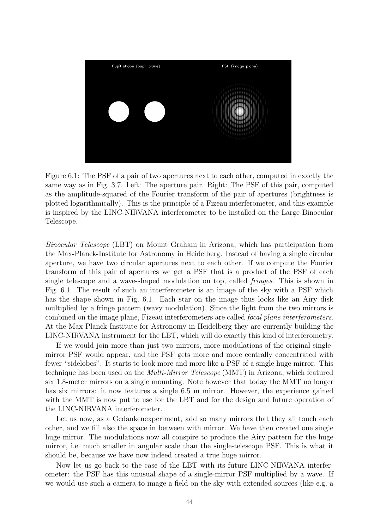

Figure 6.1: The PSF of a pair of two apertures next to each other, computed in exactly the same way as in Fig. 3.7. Left: The aperture pair. Right: The PSF of this pair, computed as the amplitude-squared of the Fourier transform of the pair of apertures (brightness is plotted logarithmically). This is the principle of a Fizeau interferometer, and this example is inspired by the LINC-NIRVANA interferometer to be installed on the Large Binocular Telescope.

Binocular Telescope (LBT) on Mount Graham in Arizona, which has participation from the Max-Planck-Institute for Astronomy in Heidelberg. Instead of having a single circular aperture, we have two circular apertures next to each other. If we compute the Fourier transform of this pair of apertures we get a PSF that is a product of the PSF of each single telescope and a wave-shaped modulation on top, called fringes. This is shown in Fig. 6.1. The result of such an interferometer is an image of the sky with a PSF which has the shape shown in Fig. 6.1. Each star on the image thus looks like an Airy disk multiplied by a fringe pattern (wavy modulation). Since the light from the two mirrors is combined on the image plane, Fizeau interferometers are called focal plane interferometers. At the Max-Planck-Institute for Astronomy in Heidelberg they are currently building the LINC-NIRVANA instrument for the LBT, which will do exactly this kind of interferometry.

If we would join more than just two mirrors, more modulations of the original singlemirror PSF would appear, and the PSF gets more and more centrally concentrated with fewer "sidelobes". It starts to look more and more like a PSF of a single huge mirror. This technique has been used on the Multi-Mirror Telescope (MMT) in Arizona, which featured six 1.8-meter mirrors on a single mounting. Note however that today the MMT no longer has six mirrors: it now features a single 6.5 m mirror. However, the experience gained with the MMT is now put to use for the LBT and for the design and future operation of the LINC-NIRVANA interferometer.

Let us now, as a Gedanken experiment, add so many mirrors that they all touch each other, and we fill also the space in between with mirror. We have then created one single huge mirror. The modulations now all conspire to produce the Airy pattern for the huge mirror, i.e. much smaller in angular scale than the single-telescope PSF. This is what it should be, because we have now indeed created a true huge mirror.

Now let us go back to the case of the LBT with its future LINC-NIRVANA interferometer: the PSF has this unusual shape of a single-mirror PSF multiplied by a wave. If we would use such a camera to image a field on the sky with extended sources (like e.g. a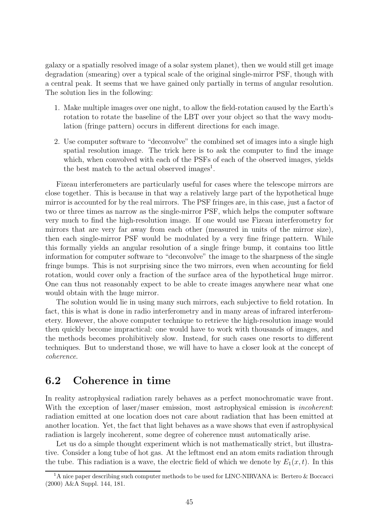galaxy or a spatially resolved image of a solar system planet), then we would still get image degradation (smearing) over a typical scale of the original single-mirror PSF, though with a central peak. It seems that we have gained only partially in terms of angular resolution. The solution lies in the following:

- 1. Make multiple images over one night, to allow the field-rotation caused by the Earth's rotation to rotate the baseline of the LBT over your object so that the wavy modulation (fringe pattern) occurs in different directions for each image.
- 2. Use computer software to "deconvolve" the combined set of images into a single high spatial resolution image. The trick here is to ask the computer to find the image which, when convolved with each of the PSFs of each of the observed images, yields the best match to the actual observed images<sup>1</sup>.

Fizeau interferometers are particularly useful for cases where the telescope mirrors are close together. This is because in that way a relatively large part of the hypothetical huge mirror is accounted for by the real mirrors. The PSF fringes are, in this case, just a factor of two or three times as narrow as the single-mirror PSF, which helps the computer software very much to find the high-resolution image. If one would use Fizeau interferometry for mirrors that are very far away from each other (measured in units of the mirror size), then each single-mirror PSF would be modulated by a very fine fringe pattern. While this formally yields an angular resolution of a single fringe bump, it contains too little information for computer software to "deconvolve" the image to the sharpness of the single fringe bumps. This is not surprising since the two mirrors, even when accounting for field rotation, would cover only a fraction of the surface area of the hypothetical huge mirror. One can thus not reasonably expect to be able to create images anywhere near what one would obtain with the huge mirror.

The solution would lie in using many such mirrors, each subjective to field rotation. In fact, this is what is done in radio interferometry and in many areas of infrared interferometery. However, the above computer technique to retrieve the high-resolution image would then quickly become impractical: one would have to work with thousands of images, and the methods becomes prohibitively slow. Instead, for such cases one resorts to different techniques. But to understand those, we will have to have a closer look at the concept of coherence.

#### 6.2 Coherence in time

In reality astrophysical radiation rarely behaves as a perfect monochromatic wave front. With the exception of laser/maser emission, most astrophysical emission is *incoherent*: radiation emitted at one location does not care about radiation that has been emitted at another location. Yet, the fact that light behaves as a wave shows that even if astrophysical radiation is largely incoherent, some degree of coherence must automatically arise.

Let us do a simple thought experiment which is not mathematically strict, but illustrative. Consider a long tube of hot gas. At the leftmost end an atom emits radiation through the tube. This radiation is a wave, the electric field of which we denote by  $E_1(x,t)$ . In this

<sup>&</sup>lt;sup>1</sup>A nice paper describing such computer methods to be used for LINC-NIRVANA is: Bertero & Boccacci (2000) A&A Suppl. 144, 181.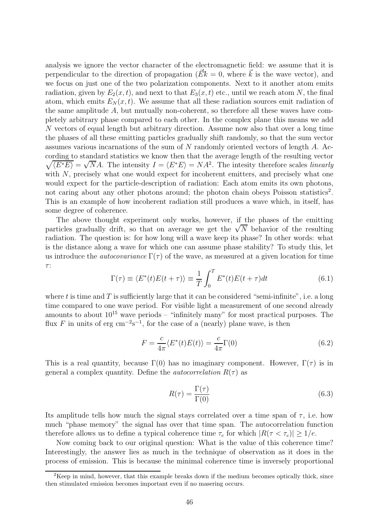analysis we ignore the vector character of the electromagnetic field: we assume that it is perpendicular to the direction of propagation ( $\vec{Ek} = 0$ , where  $\vec{k}$  is the wave vector), and we focus on just one of the two polarization components. Next to it another atom emits radiation, given by  $E_2(x, t)$ , and next to that  $E_3(x, t)$  etc., until we reach atom N, the final atom, which emits  $E_N(x, t)$ . We assume that all these radiation sources emit radiation of the same amplitude  $A$ , but mutually non-coherent, so therefore all these waves have completely arbitrary phase compared to each other. In the complex plane this means we add N vectors of equal length but arbitrary direction. Assume now also that over a long time the phases of all these emitting particles gradually shift randomly, so that the sum vector assumes various incarnations of the sum of N randomly oriented vectors of length A. According to standard statistics we know then that the average length of the resulting vector  $\sqrt{\langle E^*E \rangle} = \sqrt{N}A$ . The intensity  $I = \langle E^*E \rangle = NA^2$ . The intesity therefore scales *linearly* with N, precisely what one would expect for incoherent emitters, and precisely what one would expect for the particle-description of radiation: Each atom emits its own photons, not caring about any other photons around; the photon chain obeys Poisson statistics<sup>2</sup>. This is an example of how incoherent radiation still produces a wave which, in itself, has some degree of coherence.

The above thought experiment only works, however, if the phases of the emitting particles gradually drift, so that on average we get the  $\sqrt{N}$  behavior of the resulting radiation. The question is: for how long will a wave keep its phase? In other words: what is the distance along a wave for which one can assume phase stability? To study this, let us introduce the *autocovariance*  $\Gamma(\tau)$  of the wave, as measured at a given location for time τ :

$$
\Gamma(\tau) \equiv \langle E^*(t)E(t+\tau) \rangle \equiv \frac{1}{T} \int_0^T E^*(t)E(t+\tau)dt \tag{6.1}
$$

where t is time and T is sufficiently large that it can be considered "semi-infinite", i.e. a long time compared to one wave period. For visible light a measurement of one second already amounts to about  $10^{15}$  wave periods – "infinitely many" for most practical purposes. The flux F in units of erg cm<sup>-2</sup>s<sup>-1</sup>, for the case of a (nearly) plane wave, is then

$$
F = \frac{c}{4\pi} \langle E^*(t)E(t) \rangle = \frac{c}{4\pi} \Gamma(0)
$$
\n(6.2)

This is a real quantity, because  $\Gamma(0)$  has no imaginary component. However,  $\Gamma(\tau)$  is in general a complex quantity. Define the *autocorrelation*  $R(\tau)$  as

$$
R(\tau) = \frac{\Gamma(\tau)}{\Gamma(0)}\tag{6.3}
$$

Its amplitude tells how much the signal stays correlated over a time span of  $\tau$ , i.e. how much "phase memory" the signal has over that time span. The autocorrelation function therefore allows us to define a typical coherence time  $\tau_c$  for which  $|R(\tau < \tau_c)| \geq 1/e$ .

Now coming back to our original question: What is the value of this coherence time? Interestingly, the answer lies as much in the technique of observation as it does in the process of emission. This is because the minimal coherence time is inversely proportional

 ${}^{2}$ Keep in mind, however, that this example breaks down if the medium becomes optically thick, since then stimulated emission becomes important even if no masering occurs.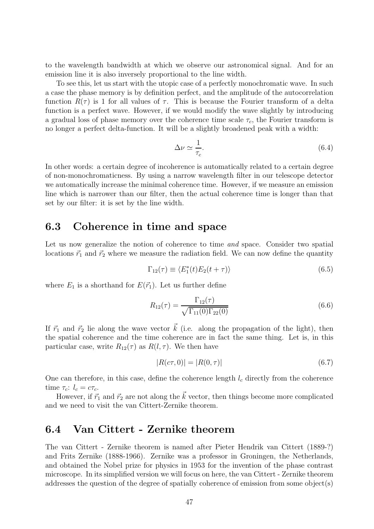to the wavelength bandwidth at which we observe our astronomical signal. And for an emission line it is also inversely proportional to the line width.

To see this, let us start with the utopic case of a perfectly monochromatic wave. In such a case the phase memory is by definition perfect, and the amplitude of the autocorrelation function  $R(\tau)$  is 1 for all values of  $\tau$ . This is because the Fourier transform of a delta function is a perfect wave. However, if we would modify the wave slightly by introducing a gradual loss of phase memory over the coherence time scale  $\tau_c$ , the Fourier transform is no longer a perfect delta-function. It will be a slightly broadened peak with a width:

$$
\Delta \nu \simeq \frac{1}{\tau_c}.\tag{6.4}
$$

In other words: a certain degree of incoherence is automatically related to a certain degree of non-monochromaticness. By using a narrow wavelength filter in our telescope detector we automatically increase the minimal coherence time. However, if we measure an emission line which is narrower than our filter, then the actual coherence time is longer than that set by our filter: it is set by the line width.

#### 6.3 Coherence in time and space

Let us now generalize the notion of coherence to time *and* space. Consider two spatial locations  $\vec{r}_1$  and  $\vec{r}_2$  where we measure the radiation field. We can now define the quantity

$$
\Gamma_{12}(\tau) \equiv \langle E_1^*(t)E_2(t+\tau) \rangle \tag{6.5}
$$

where  $E_1$  is a shorthand for  $E(\vec{r}_1)$ . Let us further define

$$
R_{12}(\tau) = \frac{\Gamma_{12}(\tau)}{\sqrt{\Gamma_{11}(0)\Gamma_{22}(0)}}\tag{6.6}
$$

If  $\vec{r}_1$  and  $\vec{r}_2$  lie along the wave vector  $\vec{k}$  (i.e. along the propagation of the light), then the spatial coherence and the time coherence are in fact the same thing. Let is, in this particular case, write  $R_{12}(\tau)$  as  $R(l, \tau)$ . We then have

$$
|R(c\tau, 0)| = |R(0, \tau)| \tag{6.7}
$$

One can therefore, in this case, define the coherence length  $l_c$  directly from the coherence time  $\tau_c$ :  $l_c = c\tau_c$ .

However, if  $\vec{r}_1$  and  $\vec{r}_2$  are not along the  $\vec{k}$  vector, then things become more complicated and we need to visit the van Cittert-Zernike theorem.

## 6.4 Van Cittert - Zernike theorem

The van Cittert - Zernike theorem is named after Pieter Hendrik van Cittert (1889-?) and Frits Zernike (1888-1966). Zernike was a professor in Groningen, the Netherlands, and obtained the Nobel prize for physics in 1953 for the invention of the phase contrast microscope. In its simplified version we will focus on here, the van Cittert - Zernike theorem addresses the question of the degree of spatially coherence of emission from some object(s)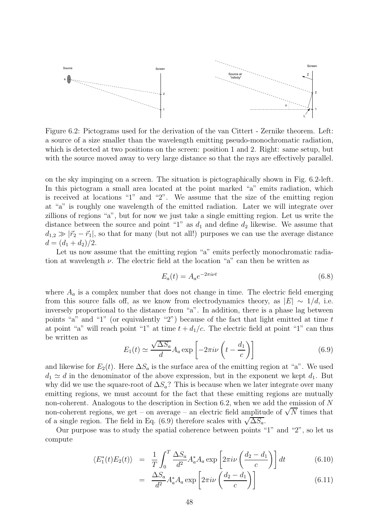

Figure 6.2: Pictograms used for the derivation of the van Cittert - Zernike theorem. Left: a source of a size smaller than the wavelength emitting pseudo-monochromatic radiation, which is detected at two positions on the screen: position 1 and 2. Right: same setup, but with the source moved away to very large distance so that the rays are effectively parallel.

on the sky impinging on a screen. The situation is pictographically shown in Fig. 6.2-left. In this pictogram a small area located at the point marked "a" emits radiation, which is received at locations "1" and "2". We assume that the size of the emitting region at "a" is roughly one wavelength of the emitted radiation. Later we will integrate over zillions of regions "a", but for now we just take a single emitting region. Let us write the distance between the source and point "1" as  $d_1$  and define  $d_2$  likewise. We assume that  $d_{1,2} \gg |\vec{r}_2 - \vec{r}_1|$ , so that for many (but not all!) purposes we can use the average distance  $d = (d_1 + d_2)/2.$ 

Let us now assume that the emitting region "a" emits perfectly monochromatic radiation at wavelength  $\nu$ . The electric field at the location "a" can then be written as

$$
E_a(t) = A_a e^{-2\pi i \nu t} \tag{6.8}
$$

where  $A_a$  is a complex number that does not change in time. The electric field emerging from this source falls off, as we know from electrodynamics theory, as  $|E| \sim 1/d$ , i.e. inversely proportional to the distance from "a". In addition, there is a phase lag between points "a" and "1" (or equivalently "2") because of the fact that light emitted at time  $t$ at point "a" will reach point "1" at time  $t + d_1/c$ . The electric field at point "1" can thus be written as

$$
E_1(t) \simeq \frac{\sqrt{\Delta S_a}}{d} A_a \exp\left[-2\pi i\nu\left(t - \frac{d_1}{c}\right)\right]
$$
 (6.9)

and likewise for  $E_2(t)$ . Here  $\Delta S_a$  is the surface area of the emitting region at "a". We used  $d_1 \simeq d$  in the denominator of the above expression, but in the exponent we kept  $d_1$ . But why did we use the square-root of  $\Delta S_a$ ? This is because when we later integrate over many emitting regions, we must account for the fact that these emitting regions are mutually non-coherent. Analogous to the description in Section 6.2, when we add the emission of N non-coherent regions, we get – on average – an electric field amplitude of  $\sqrt{N}$  times that of a single region. The field in Eq. (6.9) therefore scales with  $\sqrt{\Delta S_a}$ .

Our purpose was to study the spatial coherence between points "1" and "2", so let us compute

$$
\langle E_1^*(t)E_2(t) \rangle = \frac{1}{T} \int_0^T \frac{\Delta S_a}{d^2} A_a^* A_a \exp\left[2\pi i \nu \left(\frac{d_2 - d_1}{c}\right)\right] dt \tag{6.10}
$$

$$
= \frac{\Delta S_a}{d^2} A_a^* A_a \exp\left[2\pi i\nu\left(\frac{d_2 - d_1}{c}\right)\right]
$$
(6.11)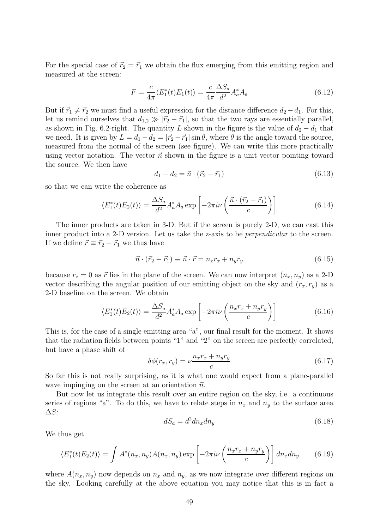For the special case of  $\vec{r}_2 = \vec{r}_1$  we obtain the flux emerging from this emitting region and measured at the screen:

$$
F = \frac{c}{4\pi} \langle E_1^*(t) E_1(t) \rangle = \frac{c}{4\pi} \frac{\Delta S_a}{d^2} A_a^* A_a \tag{6.12}
$$

But if  $\vec{r}_1 \neq \vec{r}_2$  we must find a useful expression for the distance difference  $d_2 - d_1$ . For this, let us remind ourselves that  $d_{1,2} \gg |\vec{r}_2 - \vec{r}_1|$ , so that the two rays are essentially parallel, as shown in Fig. 6.2-right. The quantity L shown in the figure is the value of  $d_2 - d_1$  that we need. It is given by  $L = d_1 - d_2 = |\vec{r}_2 - \vec{r}_1| \sin \theta$ , where  $\theta$  is the angle toward the source, measured from the normal of the screen (see figure). We can write this more practically using vector notation. The vector  $\vec{n}$  shown in the figure is a unit vector pointing toward the source. We then have

$$
d_1 - d_2 = \vec{n} \cdot (\vec{r}_2 - \vec{r}_1) \tag{6.13}
$$

so that we can write the coherence as

$$
\langle E_1^*(t)E_2(t)\rangle = \frac{\Delta S_a}{d^2} A_a^* A_a \exp\left[-2\pi i\nu\left(\frac{\vec{n}\cdot(\vec{r}_2 - \vec{r}_1)}{c}\right)\right]
$$
(6.14)

The inner products are taken in 3-D. But if the screen is purely 2-D, we can cast this inner product into a 2-D version. Let us take the z-axis to be *perpendicular* to the screen. If we define  $\vec{r} \equiv \vec{r}_2 - \vec{r}_1$  we thus have

$$
\vec{n} \cdot (\vec{r}_2 - \vec{r}_1) \equiv \vec{n} \cdot \vec{r} = n_x r_x + n_y r_y \tag{6.15}
$$

because  $r_z = 0$  as  $\vec{r}$  lies in the plane of the screen. We can now interpret  $(n_x, n_y)$  as a 2-D vector describing the angular position of our emitting object on the sky and  $(r_x, r_y)$  as a 2-D baseline on the screen. We obtain

$$
\langle E_1^*(t)E_2(t)\rangle = \frac{\Delta S_a}{d^2} A_a^* A_a \exp\left[-2\pi i\nu \left(\frac{n_x r_x + n_y r_y}{c}\right)\right]
$$
(6.16)

This is, for the case of a single emitting area "a", our final result for the moment. It shows that the radiation fields between points "1" and "2" on the screen are perfectly correlated, but have a phase shift of

$$
\delta\phi(r_x, r_y) = \nu \frac{n_x r_x + n_y r_y}{c} \tag{6.17}
$$

So far this is not really surprising, as it is what one would expect from a plane-parallel wave impinging on the screen at an orientation  $\vec{n}$ .

But now let us integrate this result over an entire region on the sky, i.e. a continuous series of regions "a". To do this, we have to relate steps in  $n_x$  and  $n_y$  to the surface area  $\Delta S$ :

$$
dS_a = d^2 dn_x dn_y \tag{6.18}
$$

We thus get

$$
\langle E_1^*(t)E_2(t)\rangle = \int A^*(n_x, n_y)A(n_x, n_y) \exp\left[-2\pi i\nu\left(\frac{n_x n_x + n_y n_y}{c}\right)\right]dn_x dn_y \tag{6.19}
$$

where  $A(n_x, n_y)$  now depends on  $n_x$  and  $n_y$ , as we now integrate over different regions on the sky. Looking carefully at the above equation you may notice that this is in fact a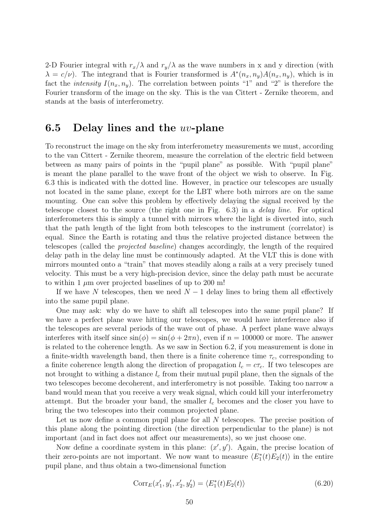2-D Fourier integral with  $r_x/\lambda$  and  $r_y/\lambda$  as the wave numbers in x and y direction (with  $\lambda = c/\nu$ ). The integrand that is Fourier transformed is  $A^*(n_x, n_y)A(n_x, n_y)$ , which is in fact the *intensity*  $I(n_x, n_y)$ . The correlation between points "1" and "2" is therefore the Fourier transform of the image on the sky. This is the van Cittert - Zernike theorem, and stands at the basis of interferometry.

#### 6.5 Delay lines and the  $uv$ -plane

To reconstruct the image on the sky from interferometry measurements we must, according to the van Cittert - Zernike theorem, measure the correlation of the electric field between between as many pairs of points in the "pupil plane" as possible. With "pupil plane" is meant the plane parallel to the wave front of the object we wish to observe. In Fig. 6.3 this is indicated with the dotted line. However, in practice our telescopes are usually not located in the same plane, except for the LBT where both mirrors are on the same mounting. One can solve this problem by effectively delaying the signal received by the telescope closest to the source (the right one in Fig. 6.3) in a delay line. For optical interferometers this is simply a tunnel with mirrors where the light is diverted into, such that the path length of the light from both telescopes to the instrument (correlator) is equal. Since the Earth is rotating and thus the relative projected distance between the telescopes (called the projected baseline) changes accordingly, the length of the required delay path in the delay line must be continuously adapted. At the VLT this is done with mirrors mounted onto a "train" that moves steadily along a rails at a very precisely tuned velocity. This must be a very high-precision device, since the delay path must be accurate to within 1  $\mu$ m over projected baselines of up to 200 m!

If we have N telescopes, then we need  $N-1$  delay lines to bring them all effectively into the same pupil plane.

One may ask: why do we have to shift all telescopes into the same pupil plane? If we have a perfect plane wave hitting our telescopes, we would have interference also if the telescopes are several periods of the wave out of phase. A perfect plane wave always interferes with itself since  $\sin(\phi) = \sin(\phi + 2\pi n)$ , even if  $n = 100000$  or more. The answer is related to the coherence length. As we saw in Section 6.2, if you measurement is done in a finite-width wavelength band, then there is a finite coherence time  $\tau_c$ , corresponding to a finite coherence length along the direction of propagation  $l_c = c\tau_c$ . If two telescopes are not brought to withing a distance  $l_c$  from their mutual pupil plane, then the signals of the two telescopes become decoherent, and interferometry is not possible. Taking too narrow a band would mean that you receive a very weak signal, which could kill your interferometry attempt. But the broader your band, the smaller  $l_c$  becomes and the closer you have to bring the two telescopes into their common projected plane.

Let us now define a common pupil plane for all  $N$  telescopes. The precise position of this plane along the pointing direction (the direction perpendicular to the plane) is not important (and in fact does not affect our measurements), so we just choose one.

Now define a coordinate system in this plane:  $(x', y')$ . Again, the precise location of their zero-points are not important. We now want to measure  $\langle E_1^*(t)E_2(t)\rangle$  in the entire pupil plane, and thus obtain a two-dimensional function

$$
Corr_E(x'_1, y'_1, x'_2, y'_2) = \langle E_1^*(t)E_2(t) \rangle \tag{6.20}
$$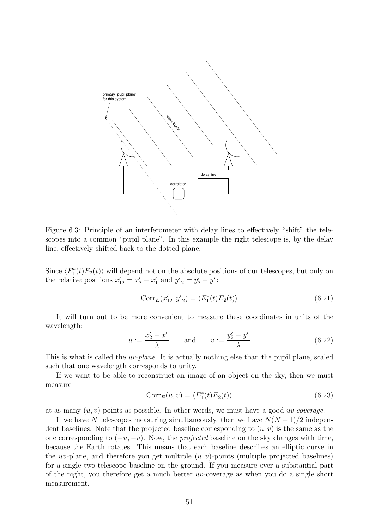

Figure 6.3: Principle of an interferometer with delay lines to effectively "shift" the telescopes into a common "pupil plane". In this example the right telescope is, by the delay line, effectively shifted back to the dotted plane.

Since  $\langle E_1^*(t)E_2(t)\rangle$  will depend not on the absolute positions of our telescopes, but only on the relative positions  $x'_{12} = x'_2 - x'_1$  and  $y'_{12} = y'_2 - y'_1$ :

$$
Corr_E(x'_{12}, y'_{12}) = \langle E_1^*(t)E_2(t) \rangle \tag{6.21}
$$

It will turn out to be more convenient to measure these coordinates in units of the wavelength:

$$
u := \frac{x_2' - x_1'}{\lambda}
$$
 and  $v := \frac{y_2' - y_1'}{\lambda}$  (6.22)

This is what is called the *uv-plane*. It is actually nothing else than the pupil plane, scaled such that one wavelength corresponds to unity.

If we want to be able to reconstruct an image of an object on the sky, then we must measure

$$
Corr_E(u, v) = \langle E_1^*(t)E_2(t) \rangle \tag{6.23}
$$

at as many  $(u, v)$  points as possible. In other words, we must have a good *uv-coverage*.

If we have N telescopes measuring simultaneously, then we have  $N(N-1)/2$  independent baselines. Note that the projected baseline corresponding to  $(u, v)$  is the same as the one corresponding to  $(-u, -v)$ . Now, the *projected* baseline on the sky changes with time, because the Earth rotates. This means that each baseline describes an elliptic curve in the uv-plane, and therefore you get multiple  $(u, v)$ -points (multiple projected baselines) for a single two-telescope baseline on the ground. If you measure over a substantial part of the night, you therefore get a much better uv-coverage as when you do a single short measurement.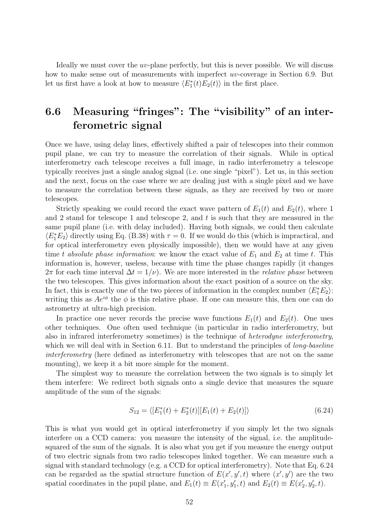Ideally we must cover the uv-plane perfectly, but this is never possible. We will discuss how to make sense out of measurements with imperfect uv-coverage in Section 6.9. But let us first have a look at how to measure  $\langle E_1^*(t)E_2(t) \rangle$  in the first place.

# 6.6 Measuring "fringes": The "visibility" of an interferometric signal

Once we have, using delay lines, effectively shifted a pair of telescopes into their common pupil plane, we can try to measure the correlation of their signals. While in optical interferometry each telescope receives a full image, in radio interferometry a telescope typically receives just a single analog signal (i.e. one single "pixel"). Let us, in this section and the next, focus on the case where we are dealing just with a single pixel and we have to measure the correlation between these signals, as they are received by two or more telescopes.

Strictly speaking we could record the exact wave pattern of  $E_1(t)$  and  $E_2(t)$ , where 1 and 2 stand for telescope 1 and telescope 2, and  $t$  is such that they are measured in the same pupil plane (i.e. with delay included). Having both signals, we could then calculate  $\langle E_1^* E_2 \rangle$  directly using Eq. (B.38) with  $\tau = 0$ . If we would do this (which is impractical, and for optical interferometry even physically impossible), then we would have at any given time t absolute phase information: we know the exact value of  $E_1$  and  $E_2$  at time t. This information is, however, useless, because with time the phase changes rapidly (it changes  $2\pi$  for each time interval  $\Delta t = 1/\nu$ . We are more interested in the *relative phase* between the two telescopes. This gives information about the exact position of a source on the sky. In fact, this is exactly one of the two pieces of information in the complex number  $\langle E_1^*E_2 \rangle$ : writing this as  $Ae^{i\phi}$  the  $\phi$  is this relative phase. If one can measure this, then one can do astrometry at ultra-high precision.

In practice one never records the precise wave functions  $E_1(t)$  and  $E_2(t)$ . One uses other techniques. One often used technique (in particular in radio interferometry, but also in infrared interferometry sometimes) is the technique of heterodyne interferometry, which we will deal with in Section 6.11. But to understand the principles of *long-baseline* interferometry (here defined as interferometry with telescopes that are not on the same mounting), we keep it a bit more simple for the moment.

The simplest way to measure the correlation between the two signals is to simply let them interfere: We redirect both signals onto a single device that measures the square amplitude of the sum of the signals:

$$
S_{12} = \langle [E_1^*(t) + E_2^*(t)][E_1(t) + E_2(t)] \rangle \tag{6.24}
$$

This is what you would get in optical interferometry if you simply let the two signals interfere on a CCD camera: you measure the intensity of the signal, i.e. the amplitudesquared of the sum of the signals. It is also what you get if you measure the energy output of two electric signals from two radio telescopes linked together. We can measure such a signal with standard technology (e.g. a CCD for optical interferometry). Note that Eq. 6.24 can be regarded as the spatial structure function of  $E(x', y', t)$  where  $(x', y')$  are the two spatial coordinates in the pupil plane, and  $E_1(t) \equiv E(x'_1, y'_1, t)$  and  $E_2(t) \equiv E(x'_2, y'_2, t)$ .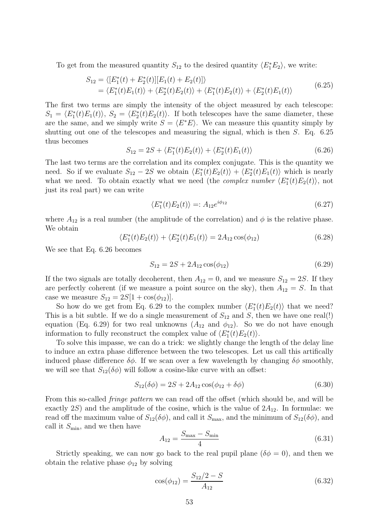To get from the measured quantity  $S_{12}$  to the desired quantity  $\langle E_1^*E_2 \rangle$ , we write:

$$
S_{12} = \langle [E_1^*(t) + E_2^*(t)][E_1(t) + E_2(t)] \rangle
$$
  
=  $\langle E_1^*(t)E_1(t) \rangle + \langle E_2^*(t)E_2(t) \rangle + \langle E_1^*(t)E_2(t) \rangle + \langle E_2^*(t)E_1(t) \rangle$  (6.25)

The first two terms are simply the intensity of the object measured by each telescope:  $S_1 = \langle E_1^*(t)E_1(t) \rangle$ ,  $S_2 = \langle E_2^*(t)E_2(t) \rangle$ . If both telescopes have the same diameter, these are the same, and we simply write  $S = \langle E^*E \rangle$ . We can measure this quantity simply by shutting out one of the telescopes and measuring the signal, which is then  $S$ . Eq. 6.25 thus becomes

$$
S_{12} = 2S + \langle E_1^*(t)E_2(t) \rangle + \langle E_2^*(t)E_1(t) \rangle \tag{6.26}
$$

The last two terms are the correlation and its complex conjugate. This is the quantity we need. So if we evaluate  $S_{12} - 2S$  we obtain  $\langle E_1^*(t)E_2(t) \rangle + \langle E_2^*(t)E_1(t) \rangle$  which is nearly what we need. To obtain exactly what we need (the *complex number*  $\langle E_1^*(t)E_2(t) \rangle$ , not just its real part) we can write

$$
\langle E_1^*(t)E_2(t)\rangle =: A_{12}e^{i\phi_{12}}\tag{6.27}
$$

where  $A_{12}$  is a real number (the amplitude of the correlation) and  $\phi$  is the relative phase. We obtain

$$
\langle E_1^*(t)E_2(t)\rangle + \langle E_2^*(t)E_1(t)\rangle = 2A_{12}\cos(\phi_{12})
$$
\n(6.28)

We see that Eq. 6.26 becomes

$$
S_{12} = 2S + 2A_{12}\cos(\phi_{12})\tag{6.29}
$$

If the two signals are totally decoherent, then  $A_{12} = 0$ , and we measure  $S_{12} = 2S$ . If they are perfectly coherent (if we measure a point source on the sky), then  $A_{12} = S$ . In that case we measure  $S_{12} = 2S[1 + \cos(\phi_{12})]$ .

So how do we get from Eq. 6.29 to the complex number  $\langle E_1^*(t)E_2(t) \rangle$  that we need? This is a bit subtle. If we do a single measurement of  $S_{12}$  and S, then we have one real(!) equation (Eq. 6.29) for two real unknowns  $(A_{12}$  and  $\phi_{12})$ . So we do not have enough information to fully reconstruct the complex value of  $\langle E_1^*(t)E_2(t)\rangle$ .

To solve this impasse, we can do a trick: we slightly change the length of the delay line to induce an extra phase difference between the two telescopes. Let us call this artifically induced phase difference  $\delta\phi$ . If we scan over a few wavelength by changing  $\delta\phi$  smoothly, we will see that  $S_{12}(\delta\phi)$  will follow a cosine-like curve with an offset:

$$
S_{12}(\delta\phi) = 2S + 2A_{12}\cos(\phi_{12} + \delta\phi) \tag{6.30}
$$

From this so-called fringe pattern we can read off the offset (which should be, and will be exactly  $2S$ ) and the amplitude of the cosine, which is the value of  $2A_{12}$ . In formulae: we read off the maximum value of  $S_{12}(\delta\phi)$ , and call it  $S_{\text{max}}$ , and the minimum of  $S_{12}(\delta\phi)$ , and call it  $S_{\text{min}}$ , and we then have

$$
A_{12} = \frac{S_{\text{max}} - S_{\text{min}}}{4} \tag{6.31}
$$

Strictly speaking, we can now go back to the real pupil plane  $(\delta \phi = 0)$ , and then we obtain the relative phase  $\phi_{12}$  by solving

$$
\cos(\phi_{12}) = \frac{S_{12}/2 - S}{A_{12}}\tag{6.32}
$$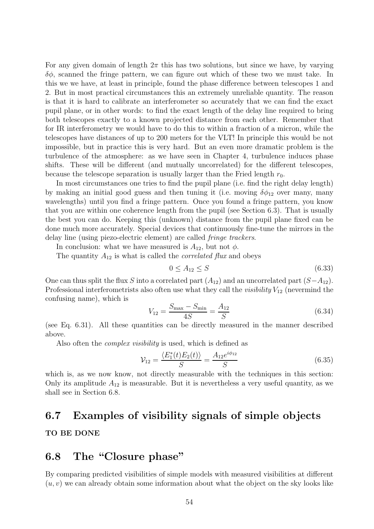For any given domain of length  $2\pi$  this has two solutions, but since we have, by varying  $\delta\phi$ , scanned the fringe pattern, we can figure out which of these two we must take. In this we we have, at least in principle, found the phase difference between telescopes 1 and 2. But in most practical circumstances this an extremely unreliable quantity. The reason is that it is hard to calibrate an interferometer so accurately that we can find the exact pupil plane, or in other words: to find the exact length of the delay line required to bring both telescopes exactly to a known projected distance from each other. Remember that for IR interferometry we would have to do this to within a fraction of a micron, while the telescopes have distances of up to 200 meters for the VLT! In principle this would be not impossible, but in practice this is very hard. But an even more dramatic problem is the turbulence of the atmosphere: as we have seen in Chapter 4, turbulence induces phase shifts. These will be different (and mutually uncorrelated) for the different telescopes, because the telescope separation is usually larger than the Fried length  $r_0$ .

In most circumstances one tries to find the pupil plane (i.e. find the right delay length) by making an initial good guess and then tuning it (i.e. moving  $\delta\phi_{12}$  over many, many wavelengths) until you find a fringe pattern. Once you found a fringe pattern, you know that you are within one coherence length from the pupil (see Section 6.3). That is usually the best you can do. Keeping this (unknown) distance from the pupil plane fixed can be done much more accurately. Special devices that continuously fine-tune the mirrors in the delay line (using piezo-electric element) are called fringe trackers.

In conclusion: what we have measured is  $A_{12}$ , but not  $\phi$ .

The quantity  $A_{12}$  is what is called the *correlated flux* and obeys

$$
0 \le A_{12} \le S \tag{6.33}
$$

One can thus split the flux S into a correlated part  $(A_{12})$  and an uncorrelated part  $(S-A_{12})$ . Professional interferometrists also often use what they call the *visibility*  $V_{12}$  (nevermind the confusing name), which is

$$
V_{12} = \frac{S_{\text{max}} - S_{\text{min}}}{4S} = \frac{A_{12}}{S}
$$
 (6.34)

(see Eq. 6.31). All these quantities can be directly measured in the manner described above.

Also often the *complex visibility* is used, which is defined as

$$
\mathcal{V}_{12} = \frac{\langle E_1^*(t)E_2(t) \rangle}{S} = \frac{A_{12}e^{i\phi_{12}}}{S}
$$
(6.35)

which is, as we now know, not directly measurable with the techniques in this section: Only its amplitude  $A_{12}$  is measurable. But it is nevertheless a very useful quantity, as we shall see in Section 6.8.

#### 6.7 Examples of visibility signals of simple objects

#### TO BE DONE

#### 6.8 The "Closure phase"

By comparing predicted visibilities of simple models with measured visibilities at different  $(u, v)$  we can already obtain some information about what the object on the sky looks like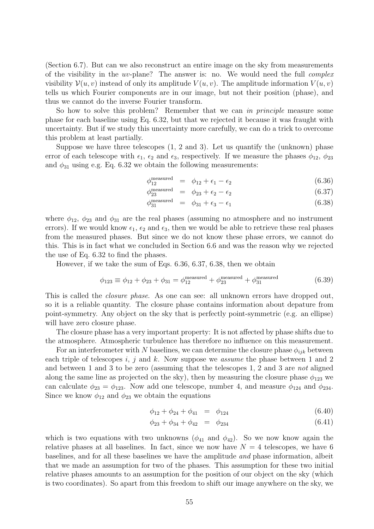(Section 6.7). But can we also reconstruct an entire image on the sky from measurements of the visibility in the uv-plane? The answer is: no. We would need the full *complex* visibility  $\mathcal{V}(u, v)$  instead of only its amplitude  $V(u, v)$ . The amplitude information  $V(u, v)$ tells us which Fourier components are in our image, but not their position (phase), and thus we cannot do the inverse Fourier transform.

So how to solve this problem? Remember that we can in principle measure some phase for each baseline using Eq. 6.32, but that we rejected it because it was fraught with uncertainty. But if we study this uncertainty more carefully, we can do a trick to overcome this problem at least partially.

Suppose we have three telescopes (1, 2 and 3). Let us quantify the (unknown) phase error of each telescope with  $\epsilon_1$ ,  $\epsilon_2$  and  $\epsilon_3$ , respectively. If we measure the phases  $\phi_{12}$ ,  $\phi_{23}$ and  $\phi_{31}$  using e.g. Eq. 6.32 we obtain the following measurements:

$$
\phi_{12}^{\text{measured}} = \phi_{12} + \epsilon_1 - \epsilon_2 \tag{6.36}
$$

$$
\phi_{23}^{\text{measured}} = \phi_{23} + \epsilon_2 - \epsilon_2 \tag{6.37}
$$

$$
\phi_{31}^{\text{measured}} = \phi_{31} + \epsilon_3 - \epsilon_1 \tag{6.38}
$$

where  $\phi_{12}$ ,  $\phi_{23}$  and  $\phi_{31}$  are the real phases (assuming no atmosphere and no instrument errors). If we would know  $\epsilon_1$ ,  $\epsilon_2$  and  $\epsilon_3$ , then we would be able to retrieve these real phases from the measured phases. But since we do not know these phase errors, we cannot do this. This is in fact what we concluded in Section 6.6 and was the reason why we rejected the use of Eq. 6.32 to find the phases.

However, if we take the sum of Eqs. 6.36, 6.37, 6.38, then we obtain

$$
\phi_{123} \equiv \phi_{12} + \phi_{23} + \phi_{31} = \phi_{12}^{\text{measured}} + \phi_{23}^{\text{measured}} + \phi_{31}^{\text{measured}}
$$
(6.39)

This is called the *closure phase*. As one can see: all unknown errors have dropped out, so it is a reliable quantity. The closure phase contains information about depature from point-symmetry. Any object on the sky that is perfectly point-symmetric (e.g. an ellipse) will have zero closure phase.

The closure phase has a very important property: It is not affected by phase shifts due to the atmosphere. Atmospheric turbulence has therefore no influence on this measurement.

For an interferometer with N baselines, we can determine the closure phase  $\phi_{ijk}$  between each triple of telescopes  $i, j$  and  $k$ . Now suppose we *assume* the phase between 1 and 2 and between 1 and 3 to be zero (assuming that the telescopes 1, 2 and 3 are not aligned along the same line as projected on the sky), then by measuring the closure phase  $\phi_{123}$  we can calculate  $\phi_{23} = \phi_{123}$ . Now add one telescope, number 4, and measure  $\phi_{124}$  and  $\phi_{234}$ . Since we know  $\phi_{12}$  and  $\phi_{23}$  we obtain the equations

$$
\phi_{12} + \phi_{24} + \phi_{41} = \phi_{124} \tag{6.40}
$$

$$
\phi_{23} + \phi_{34} + \phi_{42} = \phi_{234} \tag{6.41}
$$

which is two equations with two unknowns  $(\phi_{41}$  and  $\phi_{42})$ . So we now know again the relative phases at all baselines. In fact, since we now have  $N = 4$  telescopes, we have 6 baselines, and for all these baselines we have the amplitude and phase information, albeit that we made an assumption for two of the phases. This assumption for these two initial relative phases amounts to an assumption for the position of our object on the sky (which is two coordinates). So apart from this freedom to shift our image anywhere on the sky, we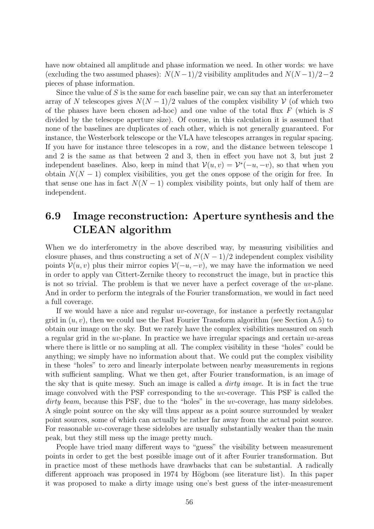have now obtained all amplitude and phase information we need. In other words: we have (excluding the two assumed phases):  $N(N-1)/2$  visibility amplitudes and  $N(N-1)/2-2$ pieces of phase information.

Since the value of  $S$  is the same for each baseline pair, we can say that an interferometer array of N telescopes gives  $N(N-1)/2$  values of the complex visibility V (of which two of the phases have been chosen ad-hoc) and one value of the total flux  $F$  (which is  $S$ divided by the telescope aperture size). Of course, in this calculation it is assumed that none of the baselines are duplicates of each other, which is not generally guaranteed. For instance, the Westerbork telescope or the VLA have telescopes arranges in regular spacing. If you have for instance three telescopes in a row, and the distance between telescope 1 and 2 is the same as that between 2 and 3, then in effect you have not 3, but just 2 independent baselines. Also, keep in mind that  $\mathcal{V}(u, v) = \mathcal{V}^*(-u, -v)$ , so that when you obtain  $N(N-1)$  complex visibilities, you get the ones oppose of the origin for free. In that sense one has in fact  $N(N-1)$  complex visibility points, but only half of them are independent.

## 6.9 Image reconstruction: Aperture synthesis and the CLEAN algorithm

When we do interferometry in the above described way, by measuring visibilities and closure phases, and thus constructing a set of  $N(N-1)/2$  independent complex visibility points  $\mathcal{V}(u, v)$  plus their mirror copies  $\mathcal{V}(-u, -v)$ , we may have the information we need in order to apply van Cittert-Zernike theory to reconstruct the image, but in practice this is not so trivial. The problem is that we never have a perfect coverage of the uv-plane. And in order to perform the integrals of the Fourier transformation, we would in fact need a full coverage.

If we would have a nice and regular uv-coverage, for instance a perfectly rectangular grid in  $(u, v)$ , then we could use the Fast Fourier Transform algorithm (see Section A.5) to obtain our image on the sky. But we rarely have the complex visibilities measured on such a regular grid in the  $uv$ -plane. In practice we have irregular spacings and certain  $uv$ -areas where there is little or no sampling at all. The complex visibility in these "holes" could be anything; we simply have no information about that. We could put the complex visibility in these "holes" to zero and linearly interpolate between nearby measurements in regions with sufficient sampling. What we then get, after Fourier transformation, is an image of the sky that is quite messy. Such an image is called a dirty image. It is in fact the true image convolved with the PSF corresponding to the uv-coverage. This PSF is called the dirty beam, because this PSF, due to the "holes" in the  $uv$ -coverage, has many sidelobes. A single point source on the sky will thus appear as a point source surrounded by weaker point sources, some of which can actually be rather far away from the actual point source. For reasonable uv-coverage these sidelobes are usually substantially weaker than the main peak, but they still mess up the image pretty much.

People have tried many different ways to "guess" the visibility between measurement points in order to get the best possible image out of it after Fourier transformation. But in practice most of these methods have drawbacks that can be substantial. A radically different approach was proposed in 1974 by Högbom (see literature list). In this paper it was proposed to make a dirty image using one's best guess of the inter-measurement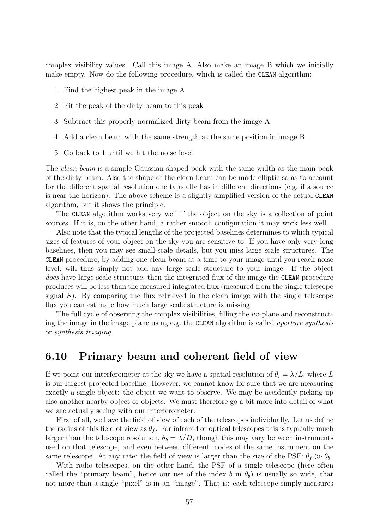complex visibility values. Call this image A. Also make an image B which we initially make empty. Now do the following procedure, which is called the CLEAN algorithm:

- 1. Find the highest peak in the image A
- 2. Fit the peak of the dirty beam to this peak
- 3. Subtract this properly normalized dirty beam from the image A
- 4. Add a clean beam with the same strength at the same position in image B
- 5. Go back to 1 until we hit the noise level

The *clean beam* is a simple Gaussian-shaped peak with the same width as the main peak of the dirty beam. Also the shape of the clean beam can be made elliptic so as to account for the different spatial resolution one typically has in different directions (e.g. if a source is near the horizon). The above scheme is a slightly simplified version of the actual CLEAN algorithm, but it shows the principle.

The CLEAN algorithm works very well if the object on the sky is a collection of point sources. If it is, on the other hand, a rather smooth configuration it may work less well.

Also note that the typical lengths of the projected baselines determines to which typical sizes of features of your object on the sky you are sensitive to. If you have only very long baselines, then you may see small-scale details, but you miss large scale structures. The CLEAN procedure, by adding one clean beam at a time to your image until you reach noise level, will thus simply not add any large scale structure to your image. If the object does have large scale structure, then the integrated flux of the image the CLEAN procedure produces will be less than the measured integrated flux (measured from the single telescope signal  $S$ ). By comparing the flux retrieved in the clean image with the single telescope flux you can estimate how much large scale structure is missing.

The full cycle of observing the complex visibilities, filling the uv-plane and reconstructing the image in the image plane using e.g. the CLEAN algorithm is called aperture synthesis or synthesis imaging.

## 6.10 Primary beam and coherent field of view

If we point our interferometer at the sky we have a spatial resolution of  $\theta_i = \lambda/L$ , where L is our largest projected baseline. However, we cannot know for sure that we are measuring exactly a single object: the object we want to observe. We may be accidently picking up also another nearby object or objects. We must therefore go a bit more into detail of what we are actually seeing with our interferometer.

First of all, we have the field of view of each of the telescopes individually. Let us define the radius of this field of view as  $\theta_f$ . For infrared or optical telescopes this is typically much larger than the telescope resolution,  $\theta_b = \lambda/D$ , though this may vary between instruments used on that telescope, and even between different modes of the same instrument on the same telescope. At any rate: the field of view is larger than the size of the PSF:  $\theta_f \gg \theta_b$ .

With radio telescopes, on the other hand, the PSF of a single telescope (here often called the "primary beam", hence our use of the index b in  $\theta_b$ ) is usually so wide, that not more than a single "pixel" is in an "image". That is: each telescope simply measures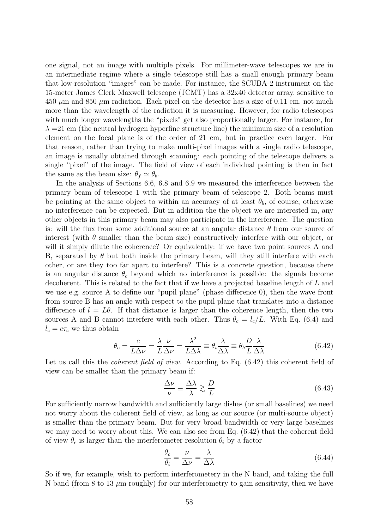one signal, not an image with multiple pixels. For millimeter-wave telescopes we are in an intermediate regime where a single telescope still has a small enough primary beam that low-resolution "images" can be made. For instance, the SCUBA-2 instrument on the 15-meter James Clerk Maxwell telescope (JCMT) has a 32x40 detector array, sensitive to  $450 \mu m$  and  $850 \mu m$  radiation. Each pixel on the detector has a size of 0.11 cm, not much more than the wavelength of the radiation it is measuring. However, for radio telescopes with much longer wavelengths the "pixels" get also proportionally larger. For instance, for  $\lambda = 21$  cm (the neutral hydrogen hyperfine structure line) the minimum size of a resolution element on the focal plane is of the order of 21 cm, but in practice even larger. For that reason, rather than trying to make multi-pixel images with a single radio telescope, an image is usually obtained through scanning: each pointing of the telescope delivers a single "pixel" of the image. The field of view of each individual pointing is then in fact the same as the beam size:  $\theta_f \simeq \theta_b$ .

In the analysis of Sections 6.6, 6.8 and 6.9 we measured the interference between the primary beam of telescope 1 with the primary beam of telescope 2. Both beams must be pointing at the same object to within an accuracy of at least  $\theta_b$ , of course, otherwise no interference can be expected. But in addition the the object we are interested in, any other objects in this primary beam may also participate in the interference. The question is: will the flux from some additional source at an angular distance  $\theta$  from our source of interest (with  $\theta$  smaller than the beam size) constructively interfere with our object, or will it simply dilute the coherence? Or equivalently: if we have two point sources A and B, separated by  $\theta$  but both inside the primary beam, will they still interfere with each other, or are they too far apart to interfere? This is a concrete question, because there is an angular distance  $\theta_c$  beyond which no interference is possible: the signals become decoherent. This is related to the fact that if we have a projected baseline length of L and we use e.g. source A to define our "pupil plane" (phase difference 0), then the wave front from source B has an angle with respect to the pupil plane that translates into a distance difference of  $l = L\theta$ . If that distance is larger than the coherence length, then the two sources A and B cannot interfere with each other. Thus  $\theta_c = l_c/L$ . With Eq. (6.4) and  $l_c = c\tau_c$  we thus obtain

$$
\theta_c = \frac{c}{L\Delta\nu} = \frac{\lambda}{L}\frac{\nu}{\Delta\nu} = \frac{\lambda^2}{L\Delta\lambda} \equiv \theta_i \frac{\lambda}{\Delta\lambda} \equiv \theta_b \frac{D}{L}\frac{\lambda}{\Delta\lambda}
$$
(6.42)

Let us call this the *coherent field of view*. According to Eq. (6.42) this coherent field of view can be smaller than the primary beam if:

$$
\frac{\Delta \nu}{\nu} \equiv \frac{\Delta \lambda}{\lambda} \gtrsim \frac{D}{L} \tag{6.43}
$$

For sufficiently narrow bandwidth and sufficiently large dishes (or small baselines) we need not worry about the coherent field of view, as long as our source (or multi-source object) is smaller than the primary beam. But for very broad bandwidth or very large baselines we may need to worry about this. We can also see from Eq. (6.42) that the coherent field of view  $\theta_c$  is larger than the interferometer resolution  $\theta_i$  by a factor

$$
\frac{\theta_c}{\theta_i} = \frac{\nu}{\Delta \nu} = \frac{\lambda}{\Delta \lambda} \tag{6.44}
$$

So if we, for example, wish to perform interferometery in the N band, and taking the full N band (from 8 to 13  $\mu$ m roughly) for our interferometry to gain sensitivity, then we have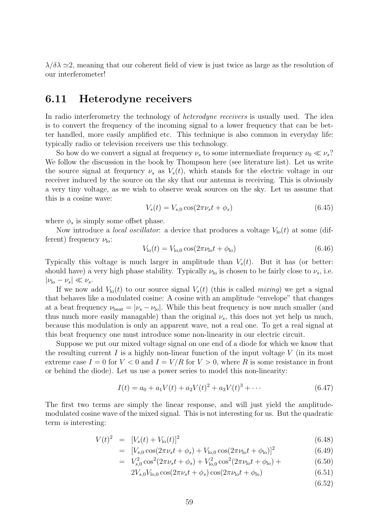$\lambda/\delta\lambda \simeq 2$ , meaning that our coherent field of view is just twice as large as the resolution of our interferometer!

## 6.11 Heterodyne receivers

In radio interferometry the technology of *heterodyne receivers* is usually used. The idea is to convert the frequency of the incoming signal to a lower frequency that can be better handled, more easily amplified etc. This technique is also common in everyday life: typically radio or television receivers use this technology.

So how do we convert a signal at frequency  $\nu_s$  to some intermediate frequency  $\nu_0 \ll \nu_s$ ? We follow the discussion in the book by Thompson here (see literature list). Let us write the source signal at frequency  $\nu_s$  as  $V_s(t)$ , which stands for the electric voltage in our receiver induced by the source on the sky that our antenna is receiving. This is obviously a very tiny voltage, as we wish to observe weak sources on the sky. Let us assume that this is a cosine wave:

$$
V_s(t) = V_{s,0} \cos(2\pi\nu_s t + \phi_s)
$$
\n(6.45)

where  $\phi_s$  is simply some offset phase.

Now introduce a *local oscillator*: a device that produces a voltage  $V_{\text{lo}}(t)$  at some (different) frequency  $\nu_{\text{lo}}$ :

$$
V_{\rm lo}(t) = V_{\rm lo,0} \cos(2\pi\nu_{\rm lo}t + \phi_{\rm lo})\tag{6.46}
$$

Typically this voltage is much larger in amplitude than  $V_s(t)$ . But it has (or better: should have) a very high phase stability. Typically  $\nu_{\text{lo}}$  is chosen to be fairly close to  $\nu_s$ , i.e.  $|\nu_{\rm lo} - \nu_s| \ll \nu_s.$ 

If we now add  $V_{\text{lo}}(t)$  to our source signal  $V_s(t)$  (this is called *mixing*) we get a signal that behaves like a modulated cosine: A cosine with an amplitude "envelope" that changes at a beat frequency  $\nu_{\text{beat}} = |\nu_s - \nu_{\text{lo}}|$ . While this beat frequency is now much smaller (and thus much more easily managable) than the original  $\nu_s$ , this does not yet help us much, because this modulation is only an apparent wave, not a real one. To get a real signal at this beat frequency one must introduce some non-linearity in our electric circuit.

Suppose we put our mixed voltage signal on one end of a diode for which we know that the resulting current  $I$  is a highly non-linear function of the input voltage  $V$  (in its most extreme case  $I = 0$  for  $V < 0$  and  $I = V/R$  for  $V > 0$ , where R is some resistance in front or behind the diode). Let us use a power series to model this non-linearity:

$$
I(t) = a_0 + a_1 V(t) + a_2 V(t)^2 + a_3 V(t)^3 + \cdots
$$
\n(6.47)

The first two terms are simply the linear response, and will just yield the amplitudemodulated cosine wave of the mixed signal. This is not interesting for us. But the quadratic term is interesting:

$$
V(t)^2 = [V_s(t) + V_{\text{lo}}(t)]^2
$$
\n(6.48)

$$
= [V_{s,0} \cos(2\pi\nu_s t + \phi_s) + V_{\text{lo},0} \cos(2\pi\nu_{\text{lo}} t + \phi_{\text{lo}})]^2
$$
(6.49)

$$
= V_{s,0}^2 \cos^2(2\pi\nu_s t + \phi_s) + V_{\text{lo},0}^2 \cos^2(2\pi\nu_{\text{lo}} t + \phi_{\text{lo}}) + \tag{6.50}
$$

$$
2V_{s,0}V_{\text{lo},0}\cos(2\pi\nu_s t + \phi_s)\cos(2\pi\nu_{\text{lo}} t + \phi_{\text{lo}}) \tag{6.51}
$$

(6.52)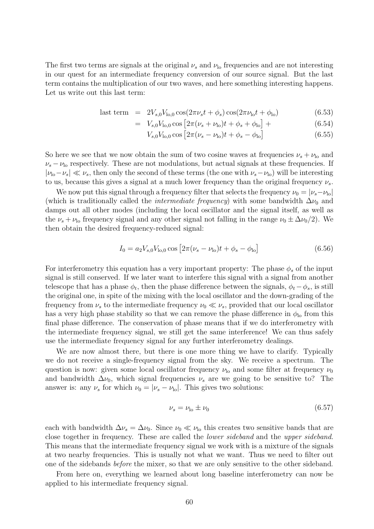The first two terms are signals at the original  $\nu_s$  and  $\nu_{\text{lo}}$  frequencies and are not interesting in our quest for an intermediate frequency conversion of our source signal. But the last term contains the multiplication of our two waves, and here something interesting happens. Let us write out this last term:

last term = 
$$
2V_{s,0}V_{\text{lo},0}\cos(2\pi\nu_s t + \phi_s)\cos(2\pi\nu_{\text{lo}}t + \phi_{\text{lo}})
$$
 (6.53)

$$
= V_{s,0}V_{\text{lo},0}\cos\left[2\pi(\nu_s + \nu_{\text{lo}})t + \phi_s + \phi_{\text{lo}}\right] +
$$
\n(6.54)

$$
V_{s,0}V_{\text{lo},0}\cos\left[2\pi(\nu_s-\nu_{\text{lo}})t+\phi_s-\phi_{\text{lo}}\right]
$$
 (6.55)

So here we see that we now obtain the sum of two cosine waves at frequencies  $\nu_s + \nu_{\text{lo}}$  and  $\nu_s - \nu_{\rm lo}$  respectively. These are not modulations, but actual signals at these frequencies. If  $|\nu_{\rm lo}-\nu_s| \ll \nu_s$ , then only the second of these terms (the one with  $\nu_s-\nu_{\rm lo}$ ) will be interesting to us, because this gives a signal at a much lower frequency than the original frequency  $\nu_s$ .

We now put this signal through a frequency filter that selects the frequency  $\nu_0 = |\nu_s - \nu_{\rm lo}|$ (which is traditionally called the *intermediate frequency*) with some bandwidth  $\Delta \nu_0$  and damps out all other modes (including the local oscillator and the signal itself, as well as the  $\nu_s + \nu_{\rm lo}$  frequency signal and any other signal not falling in the range  $\nu_0 \pm \Delta \nu_0/2$ . We then obtain the desired frequency-reduced signal:

$$
I_0 = a_2 V_{s,0} V_{\text{lo},0} \cos \left[ 2\pi (\nu_s - \nu_{\text{lo}}) t + \phi_s - \phi_{\text{lo}} \right]
$$
 (6.56)

For interferometry this equation has a very important property: The phase  $\phi_s$  of the input signal is still conserved. If we later want to interfere this signal with a signal from another telescope that has a phase  $\phi_t$ , then the phase difference between the signals,  $\phi_t - \phi_s$ , is still the original one, in spite of the mixing with the local oscillator and the down-grading of the frequency from  $\nu_s$  to the intermediate frequency  $\nu_0 \ll \nu_s$ , provided that our local oscillator has a very high phase stability so that we can remove the phase difference in  $\phi_{lo}$  from this final phase difference. The conservation of phase means that if we do interferometry with the intermediate frequency signal, we still get the same interference! We can thus safely use the intermediate frequency signal for any further interferometry dealings.

We are now almost there, but there is one more thing we have to clarify. Typically we do not receive a single-frequency signal from the sky. We receive a spectrum. The question is now: given some local oscillator frequency  $\nu_{\rm lo}$  and some filter at frequency  $\nu_{\rm 0}$ and bandwidth  $\Delta \nu_0$ , which signal frequencies  $\nu_s$  are we going to be sensitive to? The answer is: any  $\nu_s$  for which  $\nu_0 = |\nu_s - \nu_{\rm lo}|$ . This gives two solutions:

$$
\nu_s = \nu_{\text{lo}} \pm \nu_0 \tag{6.57}
$$

each with bandwidth  $\Delta \nu_s = \Delta \nu_0$ . Since  $\nu_0 \ll \nu_{\rm lo}$  this creates two sensitive bands that are close together in frequency. These are called the lower sideband and the upper sideband. This means that the intermediate frequency signal we work with is a mixture of the signals at two nearby frequencies. This is usually not what we want. Thus we need to filter out one of the sidebands before the mixer, so that we are only sensitive to the other sideband.

From here on, everything we learned about long baseline interferometry can now be applied to his intermediate frequency signal.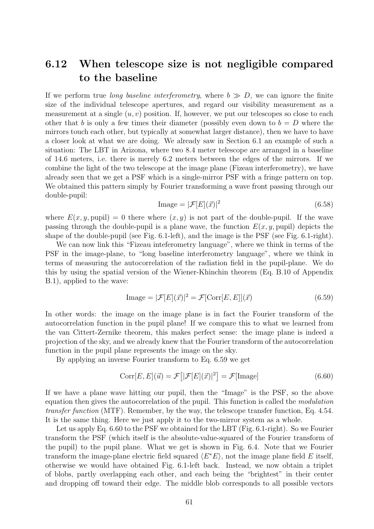## 6.12 When telescope size is not negligible compared to the baseline

If we perform true long baseline interferometry, where  $b \gg D$ , we can ignore the finite size of the individual telescope apertures, and regard our visibility measurement as a measurement at a single  $(u, v)$  position. If, however, we put our telescopes so close to each other that b is only a few times their diameter (possibly even down to  $b = D$  where the mirrors touch each other, but typically at somewhat larger distance), then we have to have a closer look at what we are doing. We already saw in Section 6.1 an example of such a situation: The LBT in Arizona, where two 8.4 meter telescope are arranged in a baseline of 14.6 meters, i.e. there is merely 6.2 meters between the edges of the mirrors. If we combine the light of the two telescope at the image plane (Fizeau interferometry), we have already seen that we get a PSF which is a single-mirror PSF with a fringe pattern on top. We obtained this pattern simply by Fourier transforming a wave front passing through our double-pupil:

$$
\text{Image} = |\mathcal{F}[E](\vec{x})|^2 \tag{6.58}
$$

where  $E(x, y, \text{pun}) = 0$  there where  $(x, y)$  is not part of the double-pupil. If the wave passing through the double-pupil is a plane wave, the function  $E(x, y, \text{pun})$  depicts the shape of the double-pupil (see Fig. 6.1-left), and the image is the PSF (see Fig. 6.1-right).

We can now link this "Fizeau inteferometry language", where we think in terms of the PSF in the image-plane, to "long baseline interferometry language", where we think in terms of measuring the autocorrelation of the radiation field in the pupil-plane. We do this by using the spatial version of the Wiener-Khinchin theorem (Eq. B.10 of Appendix B.1), applied to the wave:

$$
\text{Image} = |\mathcal{F}[E](\vec{x})|^2 = \mathcal{F}[\text{Corr}[E, E]](\vec{x}) \tag{6.59}
$$

In other words: the image on the image plane is in fact the Fourier transform of the autocorrelation function in the pupil plane! If we compare this to what we learned from the van Cittert-Zernike theorem, this makes perfect sense: the image plane is indeed a projection of the sky, and we already knew that the Fourier transform of the autocorrelation function in the pupil plane represents the image on the sky.

By applying an inverse Fourier transform to Eq. 6.59 we get

$$
Corr[E, E](\vec{u}) = \mathcal{F}\big[|\mathcal{F}[E](\vec{x})|^2\big] = \mathcal{F}[\text{Image}]
$$
\n(6.60)

If we have a plane wave hitting our pupil, then the "Image" is the PSF, so the above equation then gives the autocorrelation of the pupil. This function is called the modulation transfer function (MTF). Remember, by the way, the telescope transfer function, Eq. 4.54. It is the same thing. Here we just apply it to the two-mirror system as a whole.

Let us apply Eq. 6.60 to the PSF we obtained for the LBT (Fig. 6.1-right). So we Fourier transform the PSF (which itself is the absolute-value-squared of the Fourier transform of the pupil) to the pupil plane. What we get is shown in Fig. 6.4. Note that we Fourier transform the image-plane electric field squared  $\langle E^*E \rangle$ , not the image plane field E itself, otherwise we would have obtained Fig. 6.1-left back. Instead, we now obtain a triplet of blobs, partly overlapping each other, and each being the "brightest" in their center and dropping off toward their edge. The middle blob corresponds to all possible vectors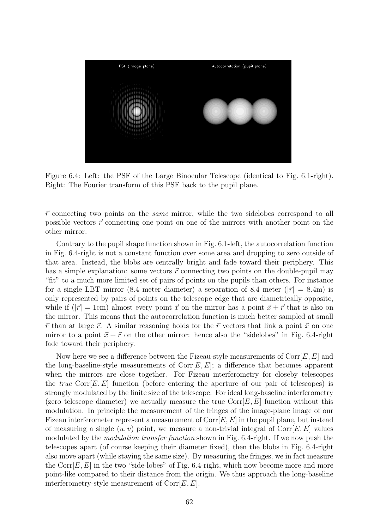

Figure 6.4: Left: the PSF of the Large Binocular Telescope (identical to Fig. 6.1-right). Right: The Fourier transform of this PSF back to the pupil plane.

 $\vec{r}$  connecting two points on the *same* mirror, while the two sidelobes correspond to all possible vectors  $\vec{r}$  connecting one point on one of the mirrors with another point on the other mirror.

Contrary to the pupil shape function shown in Fig. 6.1-left, the autocorrelation function in Fig. 6.4-right is not a constant function over some area and dropping to zero outside of that area. Instead, the blobs are centrally bright and fade toward their periphery. This has a simple explanation: some vectors  $\vec{r}$  connecting two points on the double-pupil may "fit" to a much more limited set of pairs of points on the pupils than others. For instance for a single LBT mirror (8.4 meter diameter) a separation of 8.4 meter ( $|\vec{r}| = 8.4$ m) is only represented by pairs of points on the telescope edge that are diametrically opposite, while if  $(|\vec{r}| = 1$ cm) almost every point  $\vec{x}$  on the mirror has a point  $\vec{x} + \vec{r}$  that is also on the mirror. This means that the autocorrelation function is much better sampled at small  $\vec{r}$  than at large  $\vec{r}$ . A similar reasoning holds for the  $\vec{r}$  vectors that link a point  $\vec{x}$  on one mirror to a point  $\vec{x} + \vec{r}$  on the other mirror: hence also the "sidelobes" in Fig. 6.4-right fade toward their periphery.

Now here we see a difference between the Fizeau-style measurements of  $Corr[E, E]$  and the long-baseline-style measurements of  $Corr[E, E]$ ; a difference that becomes apparent when the mirrors are close together. For Fizeau interferometry for closeby telescopes the *true* Corr $[E, E]$  function (before entering the aperture of our pair of telescopes) is strongly modulated by the finite size of the telescope. For ideal long-baseline interferometry (zero telescope diameter) we actually measure the true  $Corr[E, E]$  function without this modulation. In principle the measurement of the fringes of the image-plane image of our Fizeau interferometer represent a measurement of  $Corr[E, E]$  in the pupil plane, but instead of measuring a single  $(u, v)$  point, we measure a non-trivial integral of  $Corr[E, E]$  values modulated by the modulation transfer function shown in Fig. 6.4-right. If we now push the telescopes apart (of course keeping their diameter fixed), then the blobs in Fig. 6.4-right also move apart (while staying the same size). By measuring the fringes, we in fact measure the Corr $[E, E]$  in the two "side-lobes" of Fig. 6.4-right, which now become more and more point-like compared to their distance from the origin. We thus approach the long-baseline interferometry-style measurement of  $Corr[E, E]$ .